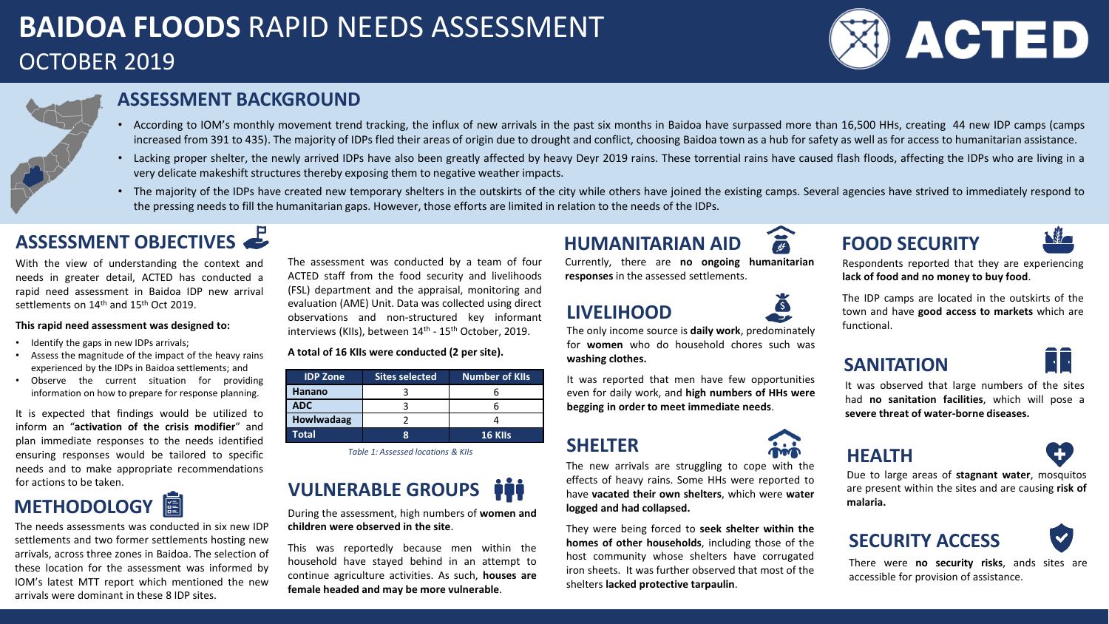# **BAIDOA FLOODS** RAPID NEEDS ASSESSMENT OCTOBER 2019





### **ASSESSMENT BACKGROUND**

- According to IOM's monthly movement trend tracking, the influx of new arrivals in the past six months in Baidoa have surpassed more than 16,500 HHs, creating 44 new IDP camps (camps increased from 391 to 435). The majority of IDPs fled their areas of origin due to drought and conflict, choosing Baidoa town as a hub for safety as well as for access to humanitarian assistance.
- Lacking proper shelter, the newly arrived IDPs have also been greatly affected by heavy Deyr 2019 rains. These torrential rains have caused flash floods, affecting the IDPs who are living in a very delicate makeshift structures thereby exposing them to negative weather impacts.
- The majority of the IDPs have created new temporary shelters in the outskirts of the city while others have joined the existing camps. Several agencies have strived to immediately respond to the pressing needs to fill the humanitarian gaps. However, those efforts are limited in relation to the needs of the IDPs.

### **ASSESSMENT OBJECTIVES**

With the view of understanding the context and needs in greater detail, ACTED has conducted a rapid need assessment in Baidoa IDP new arrival settlements on 14<sup>th</sup> and 15<sup>th</sup> Oct 2019.

### **This rapid need assessment was designed to:**

- Identify the gaps in new IDPs arrivals;
- Assess the magnitude of the impact of the heavy rains experienced by the IDPs in Baidoa settlements; and
- Observe the current situation for providing information on how to prepare for response planning.

It is expected that findings would be utilized to inform an "**activation of the crisis modifier**" and plan immediate responses to the needs identified ensuring responses would be tailored to specific needs and to make appropriate recommendations for actions to be taken.

### 匾 **METHODOLOGY**

The needs assessments was conducted in six new IDP settlements and two former settlements hosting new arrivals, across three zones in Baidoa. The selection of these location for the assessment was informed by IOM's latest MTT report which mentioned the new arrivals were dominant in these 8 IDP sites.

The assessment was conducted by a team of four ACTED staff from the food security and livelihoods (FSL) department and the appraisal, monitoring and evaluation (AME) Unit. Data was collected using direct observations and non-structured key informant interviews (KIIs), between 14<sup>th</sup> - 15<sup>th</sup> October, 2019.

**A total of 16 KIIs were conducted (2 per site).**

| <b>Sites selected</b> | <b>Number of KIIs</b> |
|-----------------------|-----------------------|
|                       |                       |
|                       |                       |
|                       |                       |
|                       | 16 KIIs               |
|                       |                       |

*Table 1: Assessed locations & KIIs*

# **VULNERABLE GROUPS**  $\phi$

During the assessment, high numbers of **women and children were observed in the site**.

This was reportedly because men within the household have stayed behind in an attempt to continue agriculture activities. As such, **houses are female headed and may be more vulnerable**.

## **HUMANITARIAN AID FOOD SECURITY**

Currently, there are **no ongoing humanitarian responses** in the assessed settlements.

### **LIVELIHOOD**



一样一

Respondents reported that they are experiencing **lack of food and no money to buy food**.

The IDP camps are located in the outskirts of the town and have **good access to markets** which are functional.

### **SANITATION**

It was observed that large numbers of the sites had **no sanitation facilities**, which will pose a **severe threat of water-borne diseases.**

### **HEALTH**

Due to large areas of **stagnant water**, mosquitos are present within the sites and are causing **risk of malaria.**

## **SECURITY ACCESS**



There were **no security risks**, ands sites are accessible for provision of assistance.

# The only income source is **daily work**, predominately



It was reported that men have few opportunities even for daily work, and **high numbers of HHs were begging in order to meet immediate needs**.

## **SHELTER**

**washing clothes.**

The new arrivals are struggling to cope with the effects of heavy rains. Some HHs were reported to have **vacated their own shelters**, which were **water logged and had collapsed.**

They were being forced to **seek shelter within the homes of other households**, including those of the host community whose shelters have corrugated iron sheets. It was further observed that most of the shelters **lacked protective tarpaulin**.